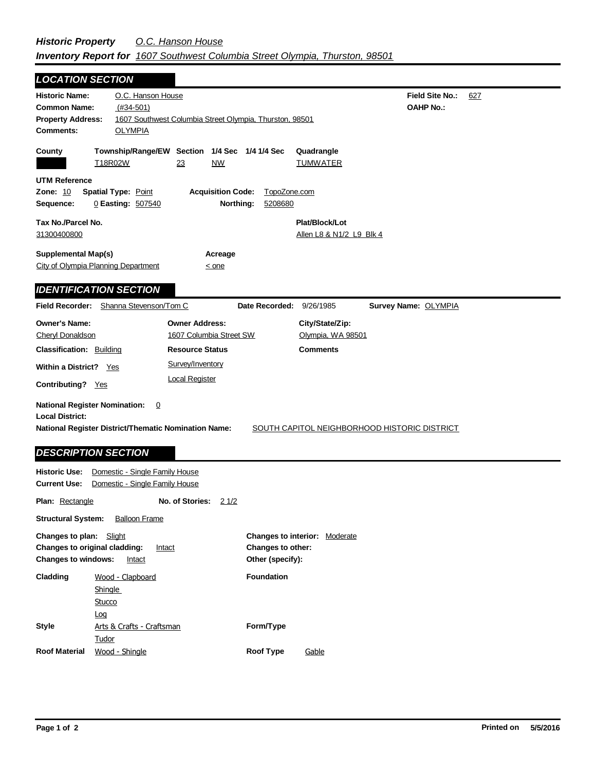| <b>LOCATION SECTION</b>                                                                                                                                          |                                                           |                                       |                                                     |                                     |     |
|------------------------------------------------------------------------------------------------------------------------------------------------------------------|-----------------------------------------------------------|---------------------------------------|-----------------------------------------------------|-------------------------------------|-----|
| O.C. Hanson House<br><b>Historic Name:</b><br><b>Common Name:</b><br>$(#34-501)$<br><b>Property Address:</b><br><b>Comments:</b><br><b>OLYMPIA</b>               | 1607 Southwest Columbia Street Olympia, Thurston, 98501   |                                       |                                                     | Field Site No.:<br><b>OAHP No.:</b> | 627 |
| County<br>T18R02W                                                                                                                                                | Township/Range/EW Section 1/4 Sec 1/4 1/4 Sec<br>23<br>NW |                                       | Quadrangle<br><b>TUMWATER</b>                       |                                     |     |
| <b>UTM Reference</b><br><b>Zone: 10</b><br><b>Spatial Type: Point</b><br>Sequence:<br>0 Easting: 507540                                                          | <b>Acquisition Code:</b><br>Northing:                     | TopoZone.com<br>5208680               |                                                     |                                     |     |
| Tax No./Parcel No.<br>31300400800                                                                                                                                |                                                           |                                       | Plat/Block/Lot<br>Allen L8 & N1/2 L9 Blk 4          |                                     |     |
| <b>Supplemental Map(s)</b><br><b>City of Olympia Planning Department</b>                                                                                         | Acreage<br>$\leq$ one                                     |                                       |                                                     |                                     |     |
| <b>IDENTIFICATION SECTION</b>                                                                                                                                    |                                                           |                                       |                                                     |                                     |     |
| Field Recorder: Shanna Stevenson/Tom C                                                                                                                           |                                                           | Date Recorded: 9/26/1985              |                                                     | <b>Survey Name: OLYMPIA</b>         |     |
| <b>Owner's Name:</b><br><b>Cheryl Donaldson</b>                                                                                                                  | <b>Owner Address:</b><br>1607 Columbia Street SW          |                                       | City/State/Zip:<br>Olympia, WA 98501                |                                     |     |
| <b>Classification: Building</b>                                                                                                                                  | <b>Resource Status</b>                                    |                                       | <b>Comments</b>                                     |                                     |     |
| <b>Within a District?</b> Yes                                                                                                                                    | Survey/Inventory                                          |                                       |                                                     |                                     |     |
| Contributing? Yes                                                                                                                                                | <b>Local Register</b>                                     |                                       |                                                     |                                     |     |
| <b>National Register Nomination:</b><br>0<br><b>Local District:</b><br><b>National Register District/Thematic Nomination Name:</b><br><b>DESCRIPTION SECTION</b> |                                                           |                                       | <b>SOUTH CAPITOL NEIGHBORHOOD HISTORIC DISTRICT</b> |                                     |     |
| <b>Historic Use:</b><br>Domestic - Single Family House<br><b>Current Use:</b><br>Domestic - Single Family House                                                  |                                                           |                                       |                                                     |                                     |     |
| <b>Plan: Rectangle</b>                                                                                                                                           | No. of Stories:<br>21/2                                   |                                       |                                                     |                                     |     |
| <b>Structural System:</b><br><b>Balloon Frame</b>                                                                                                                |                                                           |                                       |                                                     |                                     |     |
| <b>Changes to plan:</b> Slight<br>Changes to original cladding:<br><b>Changes to windows:</b><br>Intact                                                          | Intact                                                    | Changes to other:<br>Other (specify): | <b>Changes to interior: Moderate</b>                |                                     |     |

| Cladding             | Wood - Clapboard          | <b>Foundation</b> |       |
|----------------------|---------------------------|-------------------|-------|
|                      | <b>Shingle</b>            |                   |       |
|                      | Stucco                    |                   |       |
|                      | Log                       |                   |       |
| <b>Style</b>         | Arts & Crafts - Craftsman | Form/Type         |       |
|                      | Tudor                     |                   |       |
| <b>Roof Material</b> | Wood - Shingle            | Roof Type         | Gable |

-